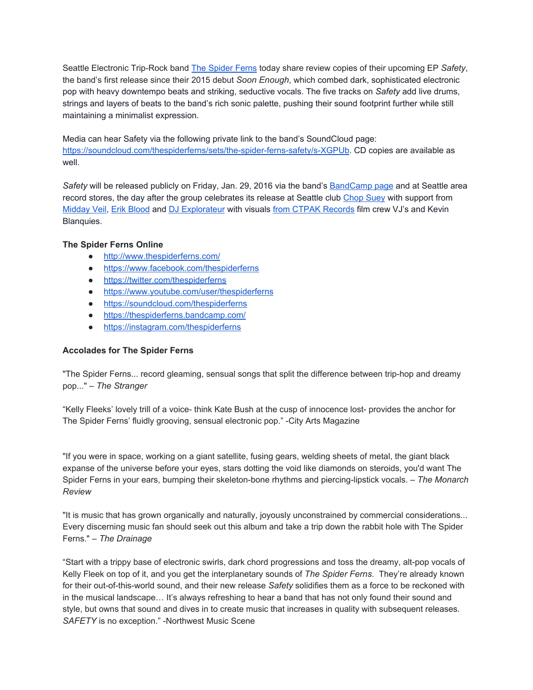Seattle Electronic Trip-Rock band The [Spider](http://www.thespiderferns.com/) Ferns today share review copies of their upcoming EP Safety, the band's first release since their 2015 debut *Soon Enough*, which combed dark, sophisticated electronic pop with heavy downtempo beats and striking, seductive vocals. The five tracks on *Safety* add live drums, strings and layers of beats to the band's rich sonic palette, pushing their sound footprint further while still maintaining a minimalist expression.

Media can hear Safety via the following private link to the band's SoundCloud page: https://soundcloud.com/thespiderferns/sets/the-spider-ferns-safety/s-XGPUb. CD copies are available as well.

*Safety* will be released publicly on Friday, Jan. 29, 2016 via the band's [BandCamp](https://thespiderferns.bandcamp.com/) page and at Seattle area record stores, the day after the group celebrates its release at Seattle club [Chop](http://chopsuey.com/calendar/the-spider-ferns-ep-release-erik-blood-midday-veil-dj-explorateur/) Suey with support from [Midday](http://middayveil.com/) Veil, Erik [Blood](http://www.erikblood.com/) and DJ [Explorateur](https://www.facebook.com/DJExplorateur/) with visuals from CTPAK [Records](https://www.facebook.com/ctpakrecords/) film crew VJ's and Kevin Blanquies.

## **The Spider Ferns Online**

- <http://www.thespiderferns.com/>
- <https://www.facebook.com/thespiderferns>
- <https://twitter.com/thespiderferns>
- <https://www.youtube.com/user/thespiderferns>
- <https://soundcloud.com/thespiderferns>
- <https://thespiderferns.bandcamp.com/>
- <https://instagram.com/thespiderferns>

## **Accolades for The Spider Ferns**

"The Spider Ferns... record gleaming, sensual songs that split the difference between triphop and dreamy pop..." – *The Stranger*

"Kelly Fleeks' lovely trill of a voice- think Kate Bush at the cusp of innocence lost- provides the anchor for The Spider Ferns' fluidly grooving, sensual electronic pop." - City Arts Magazine

"If you were in space, working on a giant satellite, fusing gears, welding sheets of metal, the giant black expanse of the universe before your eyes, stars dotting the void like diamonds on steroids, you'd want The Spider Ferns in your ears, bumping their skeleton-bone rhythms and piercing-lipstick vocals. – The Monarch *Review*

"It is music that has grown organically and naturally, joyously unconstrained by commercial considerations... Every discerning music fan should seek out this album and take a trip down the rabbit hole with The Spider Ferns." – *The Drainage*

"Start with a trippy base of electronic swirls, dark chord progressions and toss the dreamy, alt-pop vocals of Kelly Fleek on top of it, and you get the interplanetary sounds of *The Spider Ferns*. They're already known for their out-of-this-world sound, and their new release *Safety* solidifies them as a force to be reckoned with in the musical landscape… It's always refreshing to hear a band that has not only found their sound and style, but owns that sound and dives in to create music that increases in quality with subsequent releases. SAFETY is no exception." -Northwest Music Scene